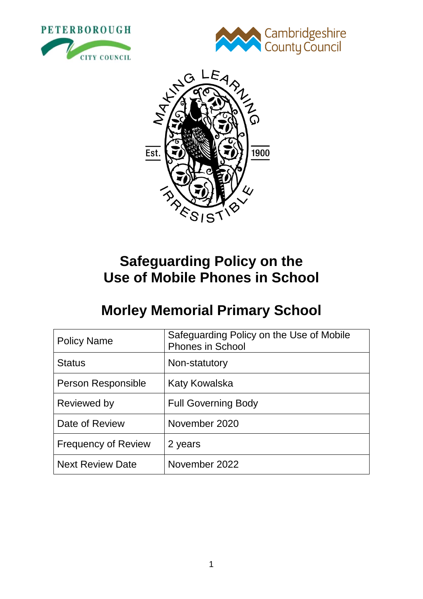





# **Safeguarding Policy on the Use of Mobile Phones in School**

# **Morley Memorial Primary School**

| <b>Policy Name</b>         | Safeguarding Policy on the Use of Mobile<br>Phones in School |
|----------------------------|--------------------------------------------------------------|
| <b>Status</b>              | Non-statutory                                                |
| Person Responsible         | Katy Kowalska                                                |
| Reviewed by                | <b>Full Governing Body</b>                                   |
| Date of Review             | November 2020                                                |
| <b>Frequency of Review</b> | 2 years                                                      |
| <b>Next Review Date</b>    | November 2022                                                |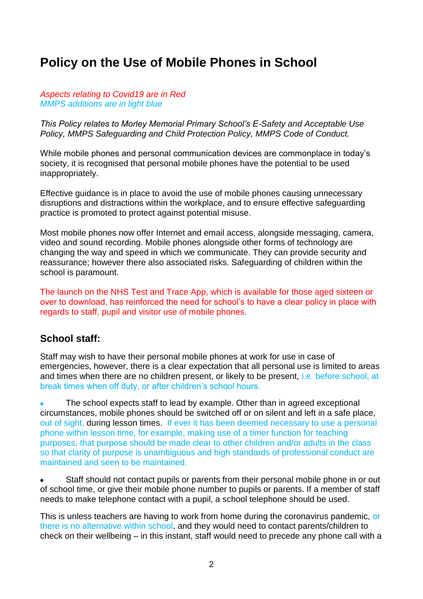## **Policy on the Use of Mobile Phones in School**

#### *Aspects relating to Covid19 are in Red MMPS additions are in light blue*

*This Policy relates to Morley Memorial Primary School's E-Safety and Acceptable Use Policy, MMPS Safeguarding and Child Protection Policy, MMPS Code of Conduct.*

While mobile phones and personal communication devices are commonplace in today's society, it is recognised that personal mobile phones have the potential to be used inappropriately.

Effective guidance is in place to avoid the use of mobile phones causing unnecessary disruptions and distractions within the workplace, and to ensure effective safeguarding practice is promoted to protect against potential misuse.

Most mobile phones now offer Internet and email access, alongside messaging, camera, video and sound recording. Mobile phones alongside other forms of technology are changing the way and speed in which we communicate. They can provide security and reassurance; however there also associated risks. Safeguarding of children within the school is paramount.

The launch on the NHS Test and Trace App, which is available for those aged sixteen or over to download, has reinforced the need for school's to have a clear policy in place with regards to staff, pupil and visitor use of mobile phones.

## **School staff:**

Staff may wish to have their personal mobile phones at work for use in case of emergencies, however, there is a clear expectation that all personal use is limited to areas and times when there are no children present, or likely to be present, i.e. before school, at break times when off duty, or after children's school hours.

**•** The school expects staff to lead by example. Other than in agreed exceptional circumstances, mobile phones should be switched off or on silent and left in a safe place, out of sight, during lesson times. If ever it has been deemed necessary to use a personal phone within lesson time, for example, making use of a timer function for teaching purposes, that purpose should be made clear to other children and/or adults in the class so that clarity of purpose is unambiguous and high standards of professional conduct are maintained and seen to be maintained.

**•** Staff should not contact pupils or parents from their personal mobile phone in or out of school time, or give their mobile phone number to pupils or parents. If a member of staff needs to make telephone contact with a pupil, a school telephone should be used.

This is unless teachers are having to work from home during the coronavirus pandemic, or there is no alternative within school, and they would need to contact parents/children to check on their wellbeing – in this instant, staff would need to precede any phone call with a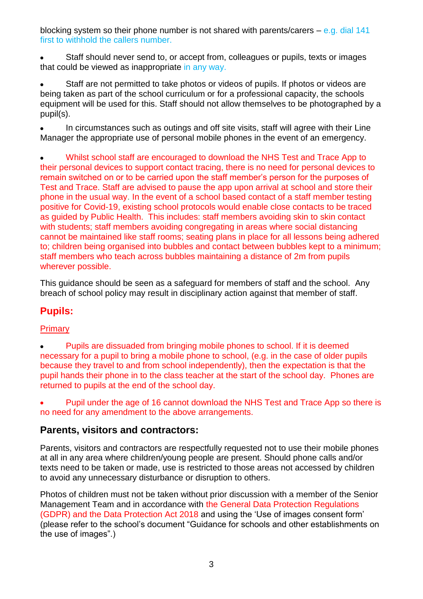blocking system so their phone number is not shared with parents/carers  $-$  e.g. dial 141 first to withhold the callers number.

**•** Staff should never send to, or accept from, colleagues or pupils, texts or images that could be viewed as inappropriate in any way.

**•** Staff are not permitted to take photos or videos of pupils. If photos or videos are being taken as part of the school curriculum or for a professional capacity, the schools equipment will be used for this. Staff should not allow themselves to be photographed by a pupil(s).

**•** In circumstances such as outings and off site visits, staff will agree with their Line Manager the appropriate use of personal mobile phones in the event of an emergency.

**•** Whilst school staff are encouraged to download the NHS Test and Trace App to their personal devices to support contact tracing, there is no need for personal devices to remain switched on or to be carried upon the staff member's person for the purposes of Test and Trace. Staff are advised to pause the app upon arrival at school and store their phone in the usual way. In the event of a school based contact of a staff member testing positive for Covid-19, existing school protocols would enable close contacts to be traced as guided by Public Health. This includes: staff members avoiding skin to skin contact with students; staff members avoiding congregating in areas where social distancing cannot be maintained like staff rooms; seating plans in place for all lessons being adhered to; children being organised into bubbles and contact between bubbles kept to a minimum; staff members who teach across bubbles maintaining a distance of 2m from pupils wherever possible.

This guidance should be seen as a safeguard for members of staff and the school. Any breach of school policy may result in disciplinary action against that member of staff.

## **Pupils:**

#### **Primary**

**•** Pupils are dissuaded from bringing mobile phones to school. If it is deemed necessary for a pupil to bring a mobile phone to school, (e.g. in the case of older pupils because they travel to and from school independently), then the expectation is that the pupil hands their phone in to the class teacher at the start of the school day. Phones are returned to pupils at the end of the school day.

**•** Pupil under the age of 16 cannot download the NHS Test and Trace App so there is no need for any amendment to the above arrangements.

#### **Parents, visitors and contractors:**

Parents, visitors and contractors are respectfully requested not to use their mobile phones at all in any area where children/young people are present. Should phone calls and/or texts need to be taken or made, use is restricted to those areas not accessed by children to avoid any unnecessary disturbance or disruption to others.

Photos of children must not be taken without prior discussion with a member of the Senior Management Team and in accordance with the General Data Protection Regulations (GDPR) and the Data Protection Act 2018 and using the 'Use of images consent form' (please refer to the school's document "Guidance for schools and other establishments on the use of images".)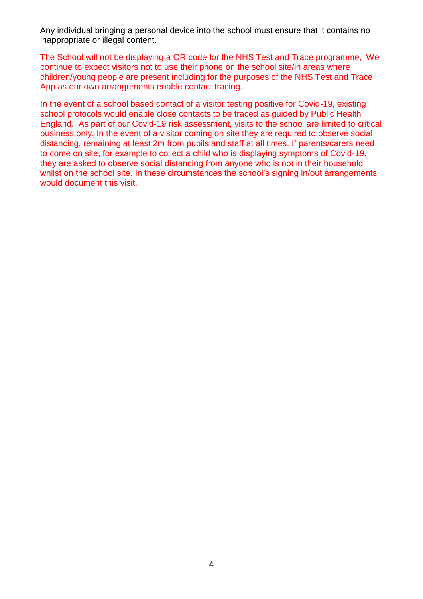Any individual bringing a personal device into the school must ensure that it contains no inappropriate or illegal content.

The School will not be displaying a QR code for the NHS Test and Trace programme, We continue to expect visitors not to use their phone on the school site/in areas where children/young people are present including for the purposes of the NHS Test and Trace App as our own arrangements enable contact tracing.

In the event of a school based contact of a visitor testing positive for Covid-19, existing school protocols would enable close contacts to be traced as guided by Public Health England. As part of our Covid-19 risk assessment, visits to the school are limited to critical business only. In the event of a visitor coming on site they are required to observe social distancing, remaining at least 2m from pupils and staff at all times. If parents/carers need to come on site, for example to collect a child who is displaying symptoms of Covid-19, they are asked to observe social distancing from anyone who is not in their household whilst on the school site. In these circumstances the school's signing in/out arrangements would document this visit.